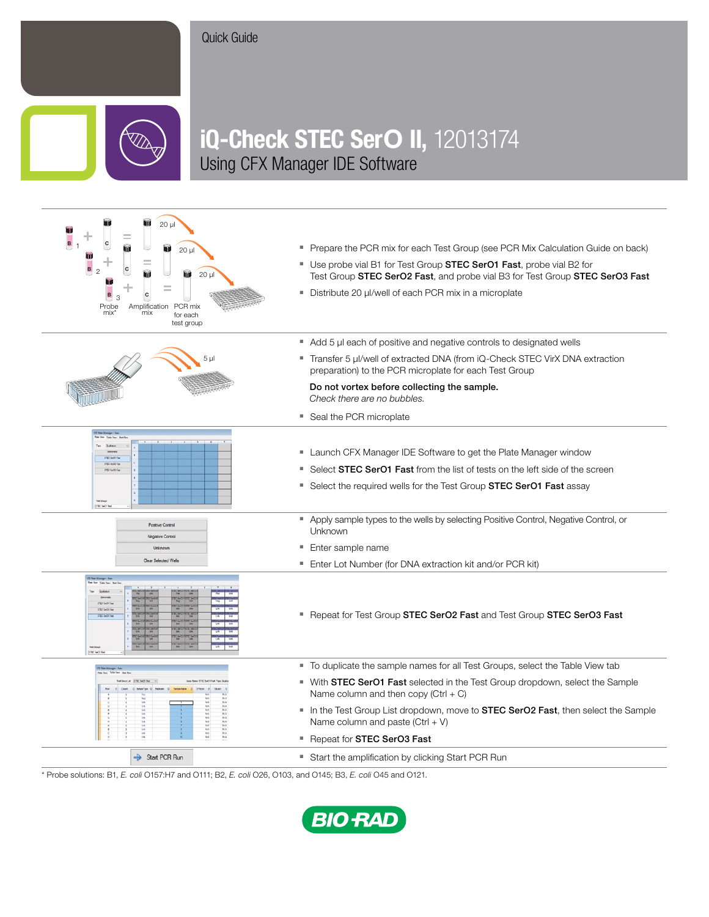## Quick Guide



## iQ-Check STEC SerO II, 12013174 Using CFX Manager IDE Software



\* Probe solutions: B1, *E. coli* O157:H7 and O111; B2, *E. coli* O26, O103, and O145; B3, *E. coli* O45 and O121.